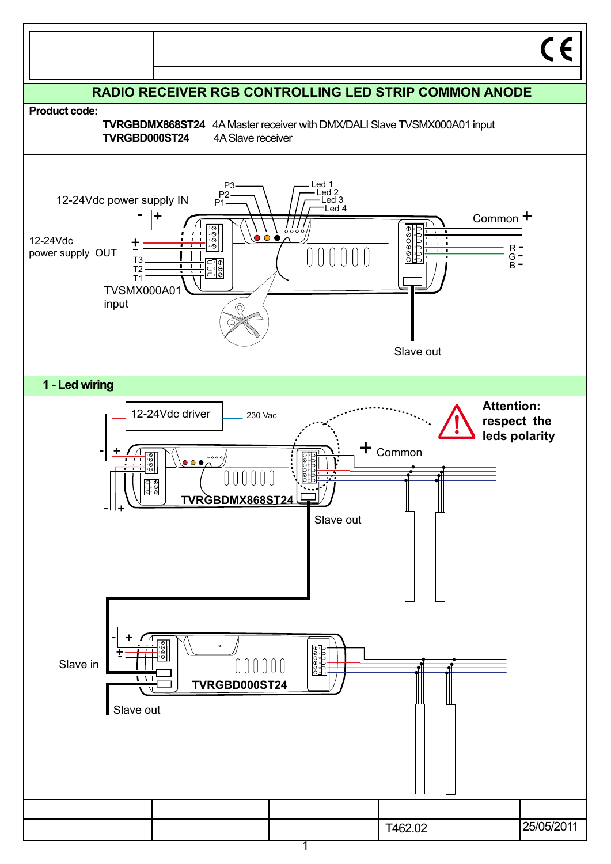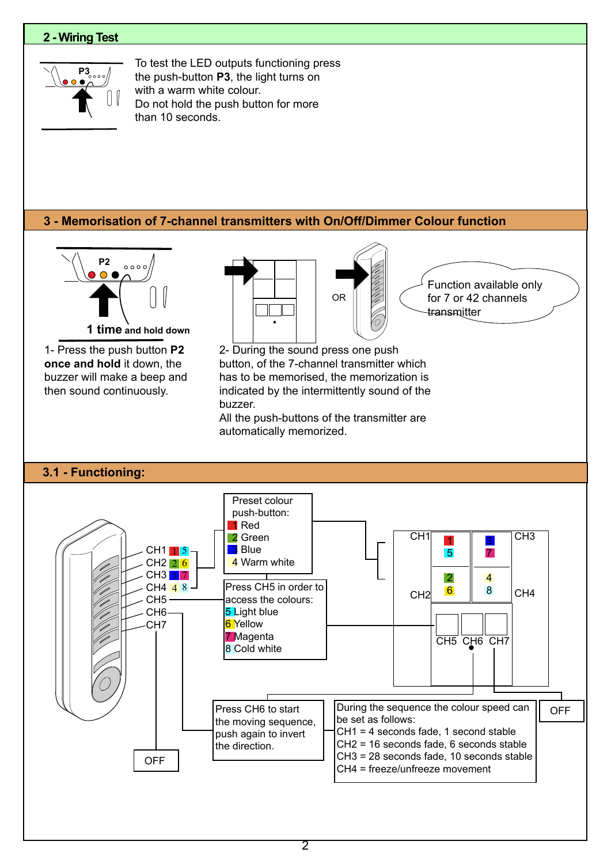# **2 - Wiring Test**



To test the LED outputs functioning press the push-button **P3**, the light turns on with a warm white colour. Do not hold the push button for more than 10 seconds.

# **3 - Memorisation of 7-channel transmitters with On/Off/Dimmer Colour function**

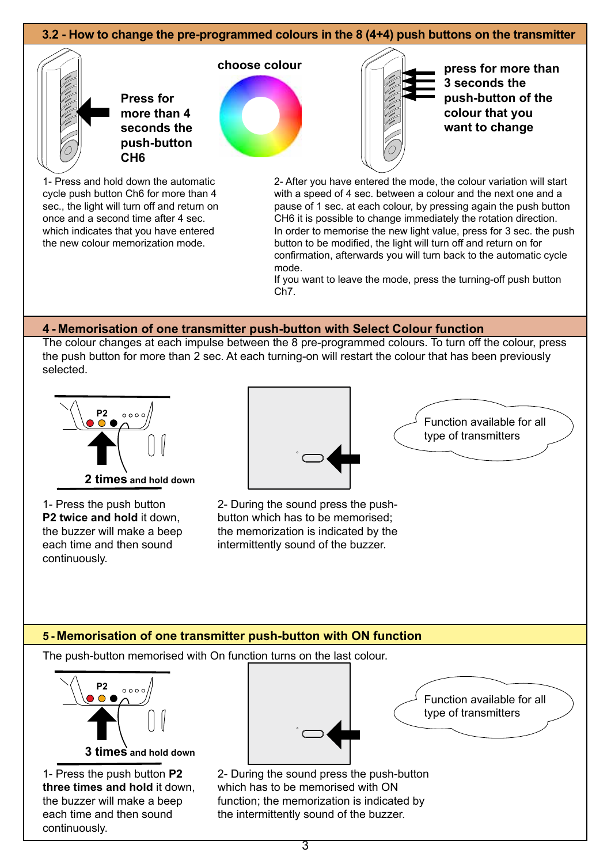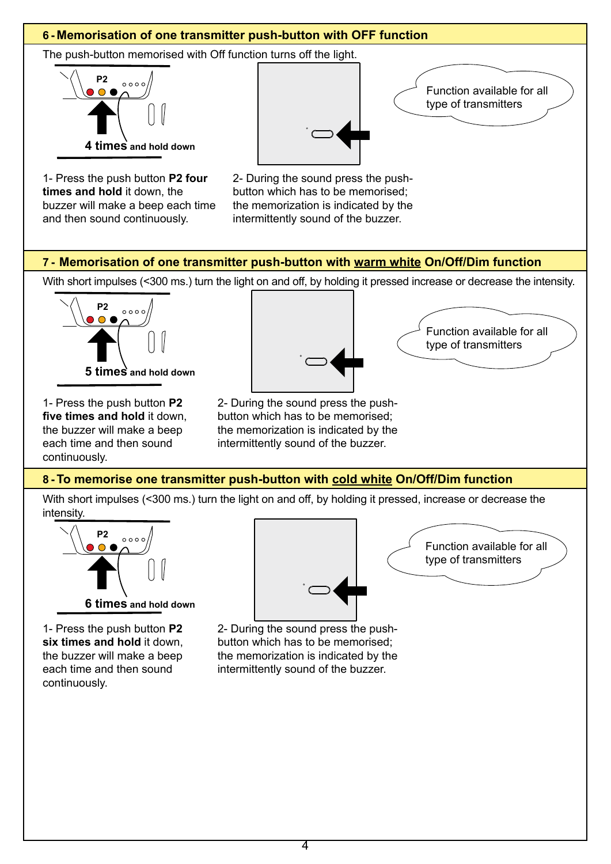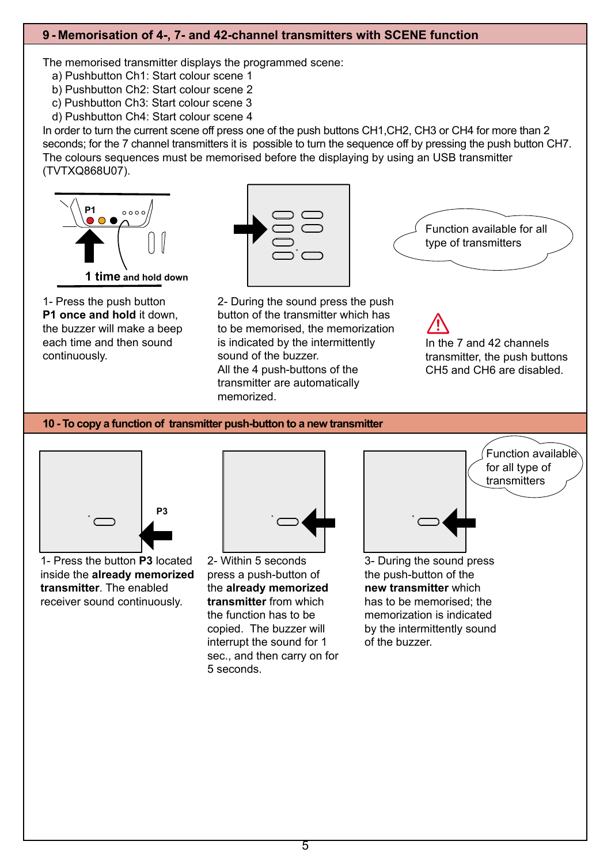# **9 - Memorisation of 4-, 7- and 42-channel transmitters with SCENE function**

The memorised transmitter displays the programmed scene:

a) Pushbutton Ch1: Start colour scene 1

b) Pushbutton Ch2: Start colour scene 2

- c) Pushbutton Ch3: Start colour scene 3
- d) Pushbutton Ch4: Start colour scene 4

In order to turn the current scene off press one of the push buttons CH1,CH2, CH3 or CH4 for more than 2 seconds; for the 7 channel transmitters it is possible to turn the sequence off by pressing the push button CH7. The colours sequences must be memorised before the displaying by using an USB transmitter (TVTXQ868U07).



1- Press the push button **P1 once and hold** it down, the buzzer will make a beep each time and then sound continuously.



2- During the sound press the push button of the transmitter which has to be memorised, the memorization is indicated by the intermittently sound of the buzzer. All the 4 push-buttons of the transmitter are automatically memorized.



In the 7 and 42 channels transmitter, the push buttons CH5 and CH6 are disabled.

## **10 - To copy a function of transmitter push-button to a new transmitter**



1- Press the button **P3** located inside the **already memorized transmitter**. The enabled receiver sound continuously.



2- Within 5 seconds press a push-button of the **already memorized transmitter** from which the function has to be copied. The buzzer will interrupt the sound for 1 sec., and then carry on for 5 seconds.



3- During the sound press the push-button of the **new transmitter** which has to be memorised; the memorization is indicated by the intermittently sound of the buzzer.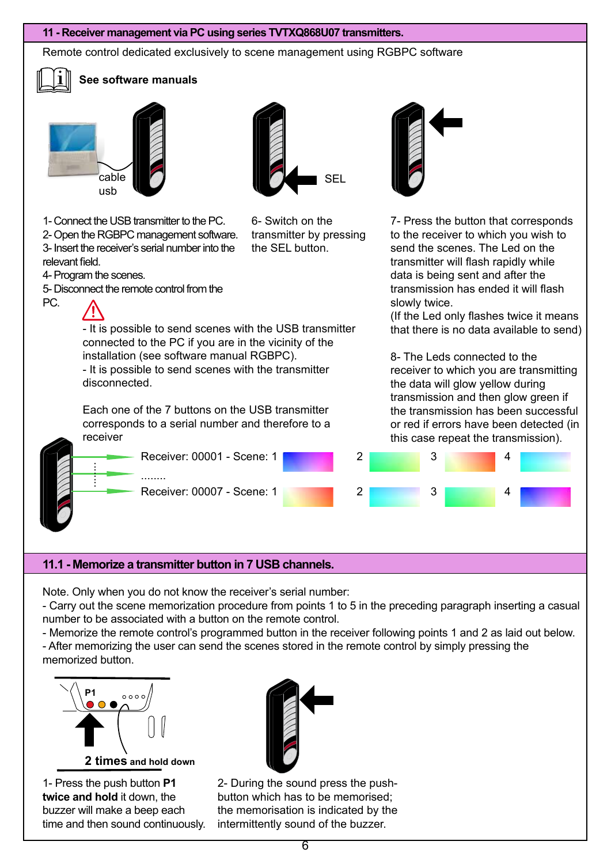#### **11 - Receiver management via PC using series TVTXQ868U07 transmitters.**

- It is possible to send scenes with the USB transmitter connected to the PC if you are in the vicinity of the

installation (see software manual RGBPC).

- It is possible to send scenes with the transmitter

Each one of the 7 buttons on the USB transmitter corresponds to a serial number and therefore to a

Remote control dedicated exclusively to scene management using RGBPC software



relevant field.

PC.

4- Program the scenes.

# **See software manuals**

1- Connect the USB transmitter to the PC. 2- Open the RGBPC management software. 3- Insert the receiver's serial number into the

5- Disconnect the remote control from the

disconnected.

receiver

........





6- Switch on the transmitter by pressing the SEL button.



7- Press the button that corresponds to the receiver to which you wish to send the scenes. The Led on the transmitter will flash rapidly while data is being sent and after the transmission has ended it will flash slowly twice.

(If the Led only flashes twice it means that there is no data available to send)

8- The Leds connected to the receiver to which you are transmitting the data will glow yellow during transmission and then glow green if the transmission has been successful or red if errors have been detected (in this case repeat the transmission).



## **11.1 - Memorize a transmitter button in 7 USB channels.**

........

Note. Only when you do not know the receiver's serial number:

- Carry out the scene memorization procedure from points 1 to 5 in the preceding paragraph inserting a casual number to be associated with a button on the remote control.

- Memorize the remote control's programmed button in the receiver following points 1 and 2 as laid out below. - After memorizing the user can send the scenes stored in the remote control by simply pressing the memorized button.



1- Press the push button **P1 twice and hold** it down, the buzzer will make a beep each time and then sound continuously.



2- During the sound press the pushbutton which has to be memorised; the memorisation is indicated by the intermittently sound of the buzzer.

6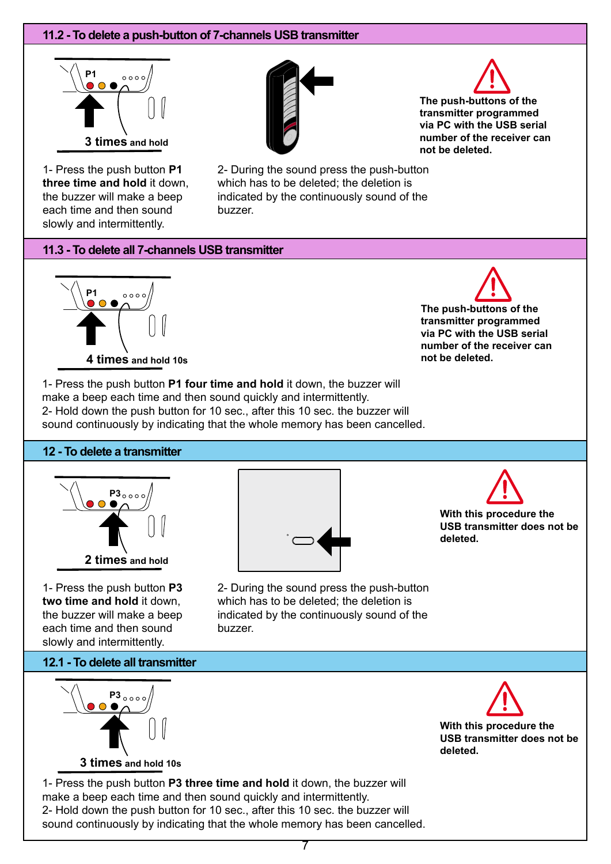# **11.2 - To delete a push-button of 7-channels USB transmitter**



1- Press the push button **P1 three time and hold** it down, the buzzer will make a beep each time and then sound slowly and intermittently.





**The push-buttons of the transmitter programmed via PC with the USB serial number of the receiver can not be deleted.**

2- During the sound press the push-button which has to be deleted; the deletion is indicated by the continuously sound of the buzzer.

## **11.3 - To delete all 7-channels USB transmitter**



**The push-buttons of the transmitter programmed via PC with the USB serial number of the receiver can not be deleted.**

1- Press the push button **P1 four time and hold** it down, the buzzer will make a beep each time and then sound quickly and intermittently. 2- Hold down the push button for 10 sec., after this 10 sec. the buzzer will sound continuously by indicating that the whole memory has been cancelled.

## **12 - To delete a transmitter**



1- Press the push button **P3 two time and hold** it down, the buzzer will make a beep each time and then sound slowly and intermittently.



**With this procedure the USB transmitter does not be deleted.**

2- During the sound press the push-button which has to be deleted; the deletion is indicated by the continuously sound of the buzzer.



**3 times and hold 10s**

**12.1 - To delete all transmitter**

**With this procedure the USB transmitter does not be deleted.**

1- Press the push button **P3 three time and hold** it down, the buzzer will make a beep each time and then sound quickly and intermittently. 2- Hold down the push button for 10 sec., after this 10 sec. the buzzer will sound continuously by indicating that the whole memory has been cancelled.

7